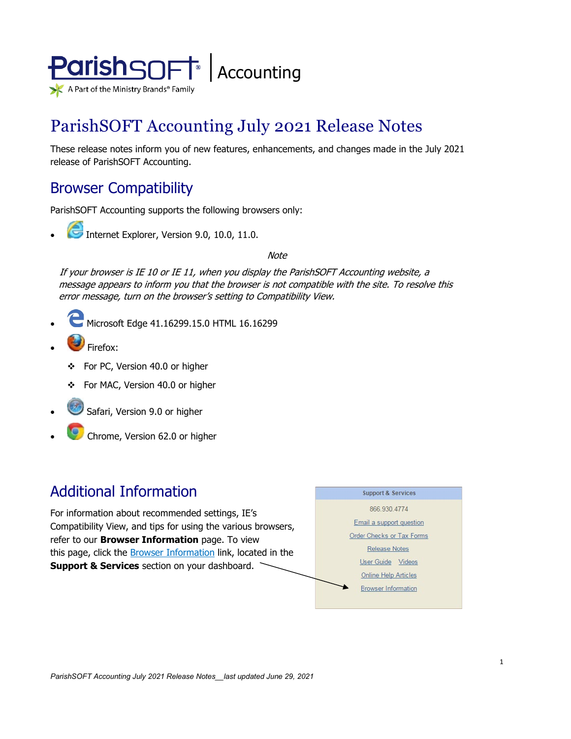

# ParishSOFT Accounting July 2021 Release Notes

These release notes inform you of new features, enhancements, and changes made in the July 2021 release of ParishSOFT Accounting.

# Browser Compatibility

ParishSOFT Accounting supports the following browsers only:

**• Internet Explorer, Version 9.0, 10.0, 11.0.** 

**Note** 

If your browser is IE 10 or IE 11, when you display the ParishSOFT Accounting website, a message appears to inform you that the browser is not compatible with the site. To resolve this error message, turn on the browser's setting to Compatibility View.

- Microsoft Edge 41.16299.15.0 HTML 16.16299
- Firefox:
	- For PC, Version 40.0 or higher
	- For MAC, Version 40.0 or higher
- Safari, Version 9.0 or higher
- Chrome, Version 62.0 or higher

### Additional Information

For information about recommended settings, IE's Compatibility View, and tips for using the various browsers, refer to our **Browser Information** page. To view this page, click the **Browser Information** link, located in the **Support & Services** section on your dashboard.